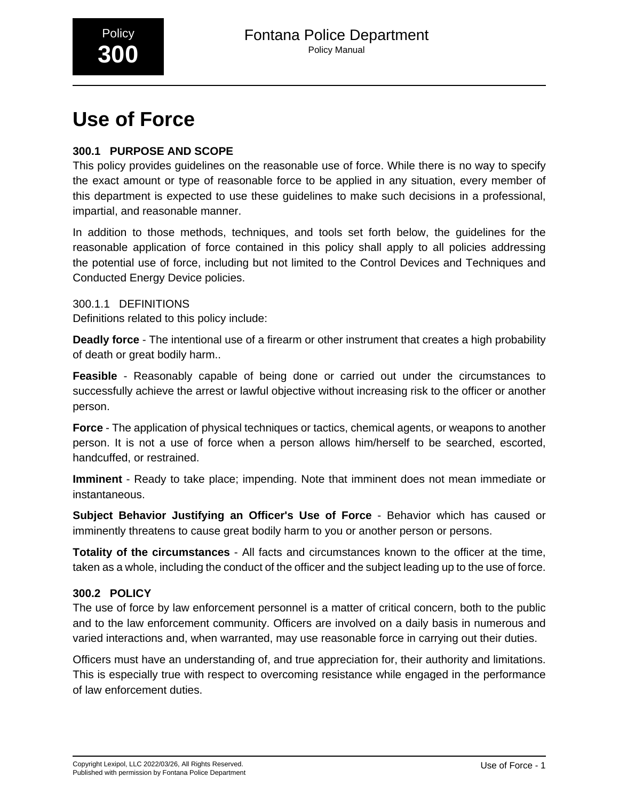# **Use of Force**

# **300.1 PURPOSE AND SCOPE**

This policy provides guidelines on the reasonable use of force. While there is no way to specify the exact amount or type of reasonable force to be applied in any situation, every member of this department is expected to use these guidelines to make such decisions in a professional, impartial, and reasonable manner.

In addition to those methods, techniques, and tools set forth below, the guidelines for the reasonable application of force contained in this policy shall apply to all policies addressing the potential use of force, including but not limited to the Control Devices and Techniques and Conducted Energy Device policies.

300.1.1 DEFINITIONS Definitions related to this policy include:

**Deadly force** - The intentional use of a firearm or other instrument that creates a high probability of death or great bodily harm..

**Feasible** - Reasonably capable of being done or carried out under the circumstances to successfully achieve the arrest or lawful objective without increasing risk to the officer or another person.

**Force** - The application of physical techniques or tactics, chemical agents, or weapons to another person. It is not a use of force when a person allows him/herself to be searched, escorted, handcuffed, or restrained.

**Imminent** - Ready to take place; impending. Note that imminent does not mean immediate or instantaneous.

**Subject Behavior Justifying an Officer's Use of Force** - Behavior which has caused or imminently threatens to cause great bodily harm to you or another person or persons.

**Totality of the circumstances** - All facts and circumstances known to the officer at the time, taken as a whole, including the conduct of the officer and the subject leading up to the use of force.

# **300.2 POLICY**

The use of force by law enforcement personnel is a matter of critical concern, both to the public and to the law enforcement community. Officers are involved on a daily basis in numerous and varied interactions and, when warranted, may use reasonable force in carrying out their duties.

Officers must have an understanding of, and true appreciation for, their authority and limitations. This is especially true with respect to overcoming resistance while engaged in the performance of law enforcement duties.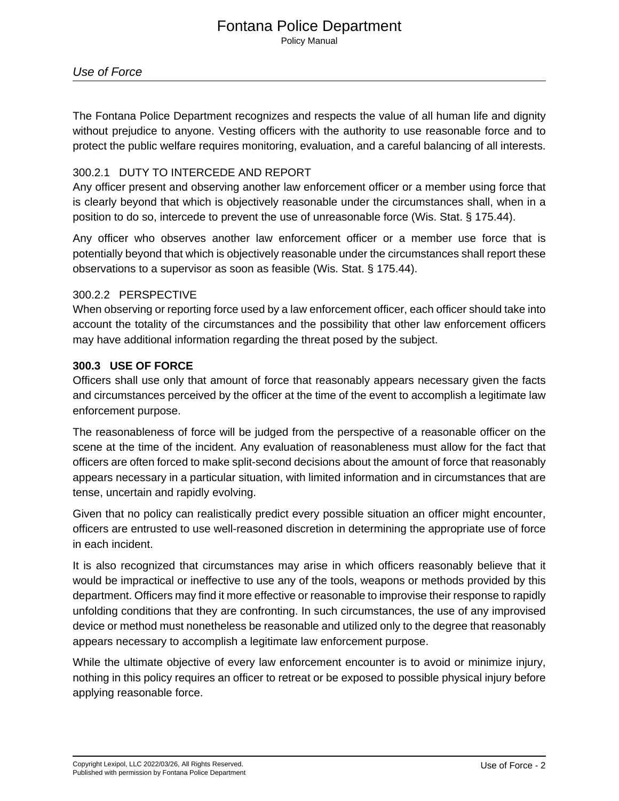## Fontana Police Department Policy Manual

The Fontana Police Department recognizes and respects the value of all human life and dignity without prejudice to anyone. Vesting officers with the authority to use reasonable force and to protect the public welfare requires monitoring, evaluation, and a careful balancing of all interests.

## 300.2.1 DUTY TO INTERCEDE AND REPORT

Any officer present and observing another law enforcement officer or a member using force that is clearly beyond that which is objectively reasonable under the circumstances shall, when in a position to do so, intercede to prevent the use of unreasonable force (Wis. Stat. § 175.44).

Any officer who observes another law enforcement officer or a member use force that is potentially beyond that which is objectively reasonable under the circumstances shall report these observations to a supervisor as soon as feasible (Wis. Stat. § 175.44).

## 300.2.2 PERSPECTIVE

When observing or reporting force used by a law enforcement officer, each officer should take into account the totality of the circumstances and the possibility that other law enforcement officers may have additional information regarding the threat posed by the subject.

## **300.3 USE OF FORCE**

Officers shall use only that amount of force that reasonably appears necessary given the facts and circumstances perceived by the officer at the time of the event to accomplish a legitimate law enforcement purpose.

The reasonableness of force will be judged from the perspective of a reasonable officer on the scene at the time of the incident. Any evaluation of reasonableness must allow for the fact that officers are often forced to make split-second decisions about the amount of force that reasonably appears necessary in a particular situation, with limited information and in circumstances that are tense, uncertain and rapidly evolving.

Given that no policy can realistically predict every possible situation an officer might encounter, officers are entrusted to use well-reasoned discretion in determining the appropriate use of force in each incident.

It is also recognized that circumstances may arise in which officers reasonably believe that it would be impractical or ineffective to use any of the tools, weapons or methods provided by this department. Officers may find it more effective or reasonable to improvise their response to rapidly unfolding conditions that they are confronting. In such circumstances, the use of any improvised device or method must nonetheless be reasonable and utilized only to the degree that reasonably appears necessary to accomplish a legitimate law enforcement purpose.

While the ultimate objective of every law enforcement encounter is to avoid or minimize injury, nothing in this policy requires an officer to retreat or be exposed to possible physical injury before applying reasonable force.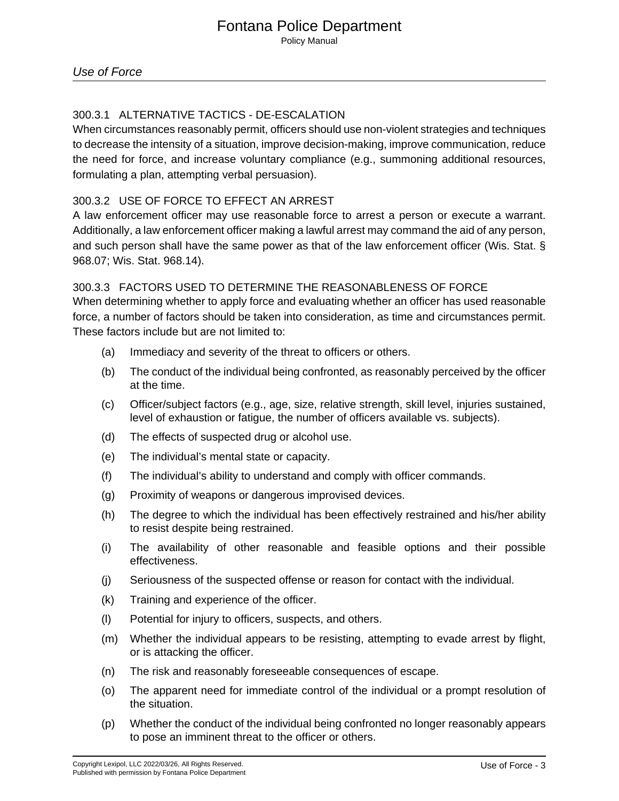# 300.3.1 ALTERNATIVE TACTICS - DE-ESCALATION

When circumstances reasonably permit, officers should use non-violent strategies and techniques to decrease the intensity of a situation, improve decision-making, improve communication, reduce the need for force, and increase voluntary compliance (e.g., summoning additional resources, formulating a plan, attempting verbal persuasion).

# 300.3.2 USE OF FORCE TO EFFECT AN ARREST

A law enforcement officer may use reasonable force to arrest a person or execute a warrant. Additionally, a law enforcement officer making a lawful arrest may command the aid of any person, and such person shall have the same power as that of the law enforcement officer (Wis. Stat. § 968.07; Wis. Stat. 968.14).\_

# 300.3.3 FACTORS USED TO DETERMINE THE REASONABLENESS OF FORCE

When determining whether to apply force and evaluating whether an officer has used reasonable force, a number of factors should be taken into consideration, as time and circumstances permit. These factors include but are not limited to:

- (a) Immediacy and severity of the threat to officers or others.
- (b) The conduct of the individual being confronted, as reasonably perceived by the officer at the time.
- (c) Officer/subject factors (e.g., age, size, relative strength, skill level, injuries sustained, level of exhaustion or fatigue, the number of officers available vs. subjects).
- (d) The effects of suspected drug or alcohol use.
- (e) The individual's mental state or capacity.
- (f) The individual's ability to understand and comply with officer commands.
- (g) Proximity of weapons or dangerous improvised devices.
- (h) The degree to which the individual has been effectively restrained and his/her ability to resist despite being restrained.
- (i) The availability of other reasonable and feasible options and their possible effectiveness.
- (j) Seriousness of the suspected offense or reason for contact with the individual.
- (k) Training and experience of the officer.
- (l) Potential for injury to officers, suspects, and others.
- (m) Whether the individual appears to be resisting, attempting to evade arrest by flight, or is attacking the officer.
- (n) The risk and reasonably foreseeable consequences of escape.
- (o) The apparent need for immediate control of the individual or a prompt resolution of the situation.
- (p) Whether the conduct of the individual being confronted no longer reasonably appears to pose an imminent threat to the officer or others.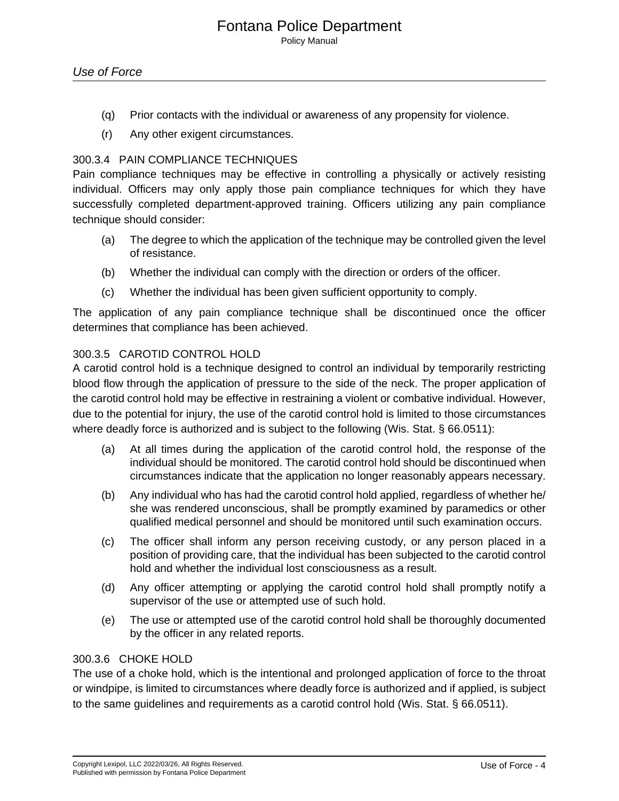- (q) Prior contacts with the individual or awareness of any propensity for violence.
- (r) Any other exigent circumstances.

## 300.3.4 PAIN COMPLIANCE TECHNIQUES

Pain compliance techniques may be effective in controlling a physically or actively resisting individual. Officers may only apply those pain compliance techniques for which they have successfully completed department-approved training. Officers utilizing any pain compliance technique should consider:

- (a) The degree to which the application of the technique may be controlled given the level of resistance.
- (b) Whether the individual can comply with the direction or orders of the officer.
- (c) Whether the individual has been given sufficient opportunity to comply.

The application of any pain compliance technique shall be discontinued once the officer determines that compliance has been achieved.

#### 300.3.5 CAROTID CONTROL HOLD

A carotid control hold is a technique designed to control an individual by temporarily restricting blood flow through the application of pressure to the side of the neck. The proper application of the carotid control hold may be effective in restraining a violent or combative individual. However, due to the potential for injury, the use of the carotid control hold is limited to those circumstances where deadly force is authorized and is subject to the following (Wis. Stat. § 66.0511):

- (a) At all times during the application of the carotid control hold, the response of the individual should be monitored. The carotid control hold should be discontinued when circumstances indicate that the application no longer reasonably appears necessary.
- (b) Any individual who has had the carotid control hold applied, regardless of whether he/ she was rendered unconscious, shall be promptly examined by paramedics or other qualified medical personnel and should be monitored until such examination occurs.
- (c) The officer shall inform any person receiving custody, or any person placed in a position of providing care, that the individual has been subjected to the carotid control hold and whether the individual lost consciousness as a result.
- (d) Any officer attempting or applying the carotid control hold shall promptly notify a supervisor of the use or attempted use of such hold.
- (e) The use or attempted use of the carotid control hold shall be thoroughly documented by the officer in any related reports.

#### 300.3.6 CHOKE HOLD

The use of a choke hold, which is the intentional and prolonged application of force to the throat or windpipe, is limited to circumstances where deadly force is authorized and if applied, is subject to the same guidelines and requirements as a carotid control hold (Wis. Stat. § 66.0511).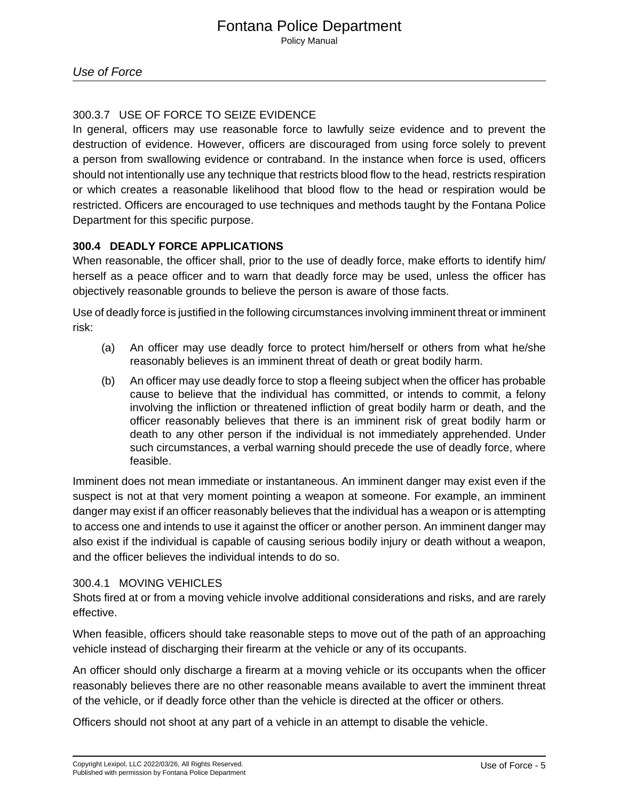# 300.3.7 USE OF FORCE TO SEIZE EVIDENCE

In general, officers may use reasonable force to lawfully seize evidence and to prevent the destruction of evidence. However, officers are discouraged from using force solely to prevent a person from swallowing evidence or contraband. In the instance when force is used, officers should not intentionally use any technique that restricts blood flow to the head, restricts respiration or which creates a reasonable likelihood that blood flow to the head or respiration would be restricted. Officers are encouraged to use techniques and methods taught by the Fontana Police Department for this specific purpose.

# **300.4 DEADLY FORCE APPLICATIONS**

When reasonable, the officer shall, prior to the use of deadly force, make efforts to identify him/ herself as a peace officer and to warn that deadly force may be used, unless the officer has objectively reasonable grounds to believe the person is aware of those facts.

Use of deadly force is justified in the following circumstances involving imminent threat or imminent risk:

- (a) An officer may use deadly force to protect him/herself or others from what he/she reasonably believes is an imminent threat of death or great bodily harm.
- (b) An officer may use deadly force to stop a fleeing subject when the officer has probable cause to believe that the individual has committed, or intends to commit, a felony involving the infliction or threatened infliction of great bodily harm or death, and the officer reasonably believes that there is an imminent risk of great bodily harm or death to any other person if the individual is not immediately apprehended. Under such circumstances, a verbal warning should precede the use of deadly force, where feasible.

Imminent does not mean immediate or instantaneous. An imminent danger may exist even if the suspect is not at that very moment pointing a weapon at someone. For example, an imminent danger may exist if an officer reasonably believes that the individual has a weapon or is attempting to access one and intends to use it against the officer or another person. An imminent danger may also exist if the individual is capable of causing serious bodily injury or death without a weapon, and the officer believes the individual intends to do so.

# 300.4.1 MOVING VEHICLES

Shots fired at or from a moving vehicle involve additional considerations and risks, and are rarely effective.

When feasible, officers should take reasonable steps to move out of the path of an approaching vehicle instead of discharging their firearm at the vehicle or any of its occupants.

An officer should only discharge a firearm at a moving vehicle or its occupants when the officer reasonably believes there are no other reasonable means available to avert the imminent threat of the vehicle, or if deadly force other than the vehicle is directed at the officer or others.

Officers should not shoot at any part of a vehicle in an attempt to disable the vehicle.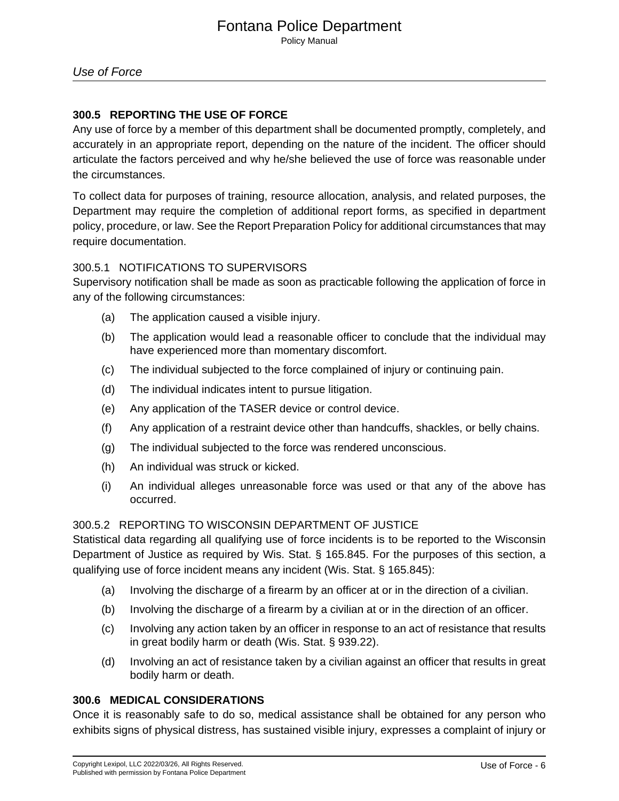## **300.5 REPORTING THE USE OF FORCE**

Any use of force by a member of this department shall be documented promptly, completely, and accurately in an appropriate report, depending on the nature of the incident. The officer should articulate the factors perceived and why he/she believed the use of force was reasonable under the circumstances.

To collect data for purposes of training, resource allocation, analysis, and related purposes, the Department may require the completion of additional report forms, as specified in department policy, procedure, or law. See the Report Preparation Policy for additional circumstances that may require documentation.

## 300.5.1 NOTIFICATIONS TO SUPERVISORS

Supervisory notification shall be made as soon as practicable following the application of force in any of the following circumstances:

- (a) The application caused a visible injury.
- (b) The application would lead a reasonable officer to conclude that the individual may have experienced more than momentary discomfort.
- (c) The individual subjected to the force complained of injury or continuing pain.
- (d) The individual indicates intent to pursue litigation.
- (e) Any application of the TASER device or control device.
- (f) Any application of a restraint device other than handcuffs, shackles, or belly chains.
- (g) The individual subjected to the force was rendered unconscious.
- (h) An individual was struck or kicked.
- (i) An individual alleges unreasonable force was used or that any of the above has occurred.

## 300.5.2 REPORTING TO WISCONSIN DEPARTMENT OF JUSTICE

Statistical data regarding all qualifying use of force incidents is to be reported to the Wisconsin Department of Justice as required by Wis. Stat. § 165.845. For the purposes of this section, a qualifying use of force incident means any incident (Wis. Stat. § 165.845):

- (a) Involving the discharge of a firearm by an officer at or in the direction of a civilian.
- (b) Involving the discharge of a firearm by a civilian at or in the direction of an officer.
- (c) Involving any action taken by an officer in response to an act of resistance that results in great bodily harm or death (Wis. Stat. § 939.22).
- (d) Involving an act of resistance taken by a civilian against an officer that results in great bodily harm or death.

#### **300.6 MEDICAL CONSIDERATIONS**

Once it is reasonably safe to do so, medical assistance shall be obtained for any person who exhibits signs of physical distress, has sustained visible injury, expresses a complaint of injury or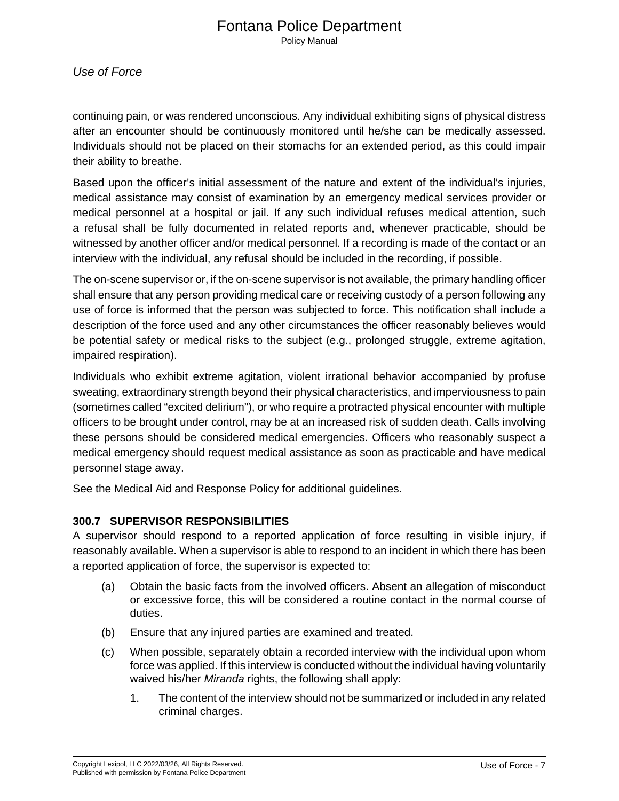continuing pain, or was rendered unconscious. Any individual exhibiting signs of physical distress after an encounter should be continuously monitored until he/she can be medically assessed. Individuals should not be placed on their stomachs for an extended period, as this could impair their ability to breathe.

Based upon the officer's initial assessment of the nature and extent of the individual's injuries, medical assistance may consist of examination by an emergency medical services provider or medical personnel at a hospital or jail. If any such individual refuses medical attention, such a refusal shall be fully documented in related reports and, whenever practicable, should be witnessed by another officer and/or medical personnel. If a recording is made of the contact or an interview with the individual, any refusal should be included in the recording, if possible.

The on-scene supervisor or, if the on-scene supervisor is not available, the primary handling officer shall ensure that any person providing medical care or receiving custody of a person following any use of force is informed that the person was subjected to force. This notification shall include a description of the force used and any other circumstances the officer reasonably believes would be potential safety or medical risks to the subject (e.g., prolonged struggle, extreme agitation, impaired respiration).

Individuals who exhibit extreme agitation, violent irrational behavior accompanied by profuse sweating, extraordinary strength beyond their physical characteristics, and imperviousness to pain (sometimes called "excited delirium"), or who require a protracted physical encounter with multiple officers to be brought under control, may be at an increased risk of sudden death. Calls involving these persons should be considered medical emergencies. Officers who reasonably suspect a medical emergency should request medical assistance as soon as practicable and have medical personnel stage away.

See the Medical Aid and Response Policy for additional guidelines.

# **300.7 SUPERVISOR RESPONSIBILITIES**

A supervisor should respond to a reported application of force resulting in visible injury, if reasonably available. When a supervisor is able to respond to an incident in which there has been a reported application of force, the supervisor is expected to:

- (a) Obtain the basic facts from the involved officers. Absent an allegation of misconduct or excessive force, this will be considered a routine contact in the normal course of duties.
- (b) Ensure that any injured parties are examined and treated.
- (c) When possible, separately obtain a recorded interview with the individual upon whom force was applied. If this interview is conducted without the individual having voluntarily waived his/her Miranda rights, the following shall apply:
	- 1. The content of the interview should not be summarized or included in any related criminal charges.